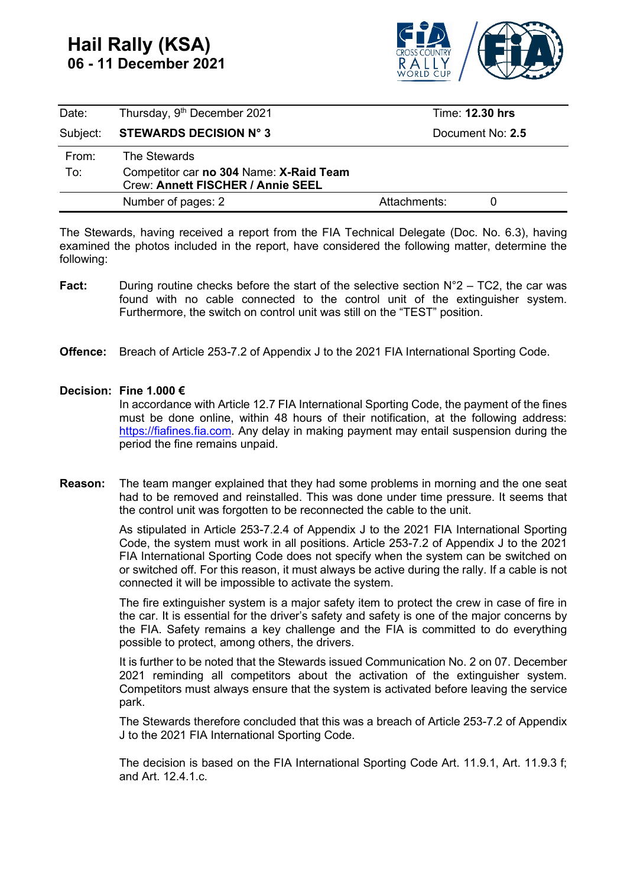## **Hail Rally (KSA) 06 - 11 December 2021**



| Date:    | Thursday, 9 <sup>th</sup> December 2021                                      | Time: 12.30 hrs  |  |
|----------|------------------------------------------------------------------------------|------------------|--|
| Subject: | <b>STEWARDS DECISION N° 3</b>                                                | Document No: 2.5 |  |
| From:    | The Stewards                                                                 |                  |  |
| To:      | Competitor car no 304 Name: X-Raid Team<br>Crew: Annett FISCHER / Annie SEEL |                  |  |
|          | Number of pages: 2                                                           | Attachments:     |  |

The Stewards, having received a report from the FIA Technical Delegate (Doc. No. 6.3), having examined the photos included in the report, have considered the following matter, determine the following:

- **Fact:** During routine checks before the start of the selective section N°2 TC2, the car was found with no cable connected to the control unit of the extinguisher system. Furthermore, the switch on control unit was still on the "TEST" position.
- **Offence:** Breach of Article 253-7.2 of Appendix J to the 2021 FIA International Sporting Code.

## **Decision: Fine 1.000 €**

In accordance with Article 12.7 FIA International Sporting Code, the payment of the fines must be done online, within 48 hours of their notification, at the following address: [https://fiafines.fia.com.](https://fiafines.fia.com/) Any delay in making payment may entail suspension during the period the fine remains unpaid.

**Reason:** The team manger explained that they had some problems in morning and the one seat had to be removed and reinstalled. This was done under time pressure. It seems that the control unit was forgotten to be reconnected the cable to the unit.

> As stipulated in Article 253-7.2.4 of Appendix J to the 2021 FIA International Sporting Code, the system must work in all positions. Article 253-7.2 of Appendix J to the 2021 FIA International Sporting Code does not specify when the system can be switched on or switched off. For this reason, it must always be active during the rally. If a cable is not connected it will be impossible to activate the system.

> The fire extinguisher system is a major safety item to protect the crew in case of fire in the car. It is essential for the driver's safety and safety is one of the major concerns by the FIA. Safety remains a key challenge and the FIA is committed to do everything possible to protect, among others, the drivers.

> It is further to be noted that the Stewards issued Communication No. 2 on 07. December 2021 reminding all competitors about the activation of the extinguisher system. Competitors must always ensure that the system is activated before leaving the service park.

> The Stewards therefore concluded that this was a breach of Article 253-7.2 of Appendix J to the 2021 FIA International Sporting Code.

> The decision is based on the FIA International Sporting Code Art. 11.9.1, Art. 11.9.3 f; and Art. 12.4.1.c.